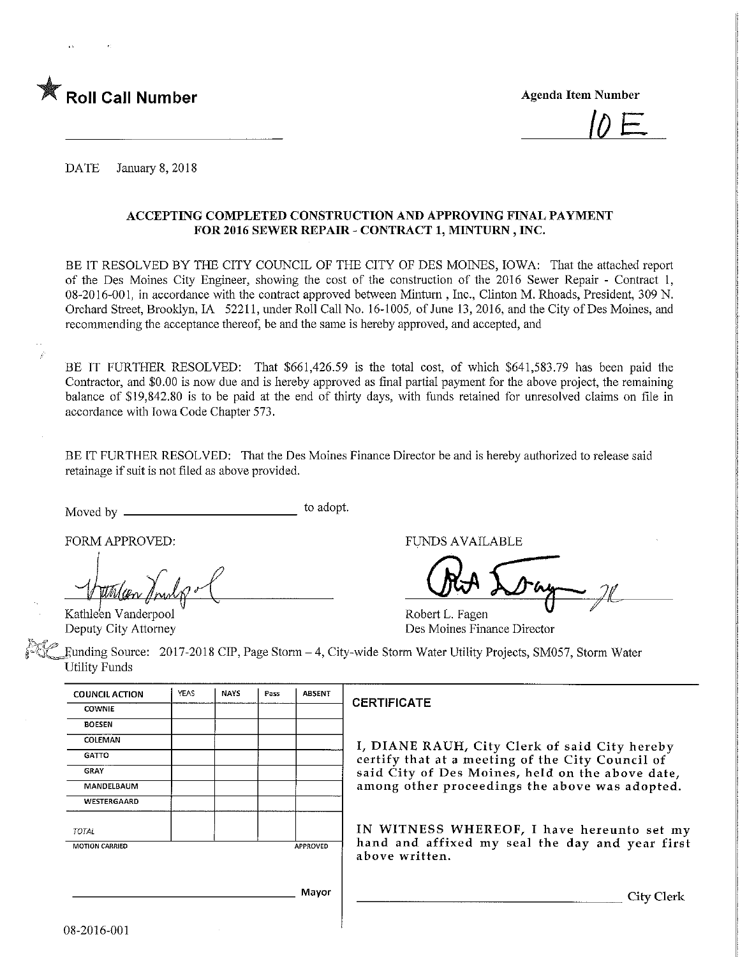



DATE January 8, 2018

## ACCEPTING COMPLETED CONSTRUCTION AND APPROVING FINAL PAYMENT FOR 2016 SEWER REPAIR - CONTRACT 1, MINTURN , INC.

BE IT RESOLVED BY THE CITY COUNCIL OF THE CITY OF DES MOINES, IOWA: That the attached report of the Des Moines City Engineer, showing the cost of the construction of the 2016 Sewer Repair - Contract 1, 08-2016-001, in accordance with the contract approved between Mintum , Inc., Clinton M. Rhoads, President, 309 N. Orchard Street, Brooklyn, IA 52211, under Roll Call No. 16-1005, of June 13,2016, and the City of Des Moines, and recommending the acceptance thereof, be and the same is hereby approved, and accepted, and

BE IT FURTHER RESOLVED: That \$661,426.59 is the total cost, of which \$641,583.79 has been paid the Contractor, and \$0.00 is now due and is hereby approved as final partial payment for the above project, the remaining balance of \$19,842.80 is to be paid at the end of thirty days, with funds retained for unresolved claims on file in accordance with Iowa Code Chapter 573.

BE IT FURTHER RESOLVED: That the Des Moines Finance Director be and is hereby authorized to release said retainage if suit is not filed as above provided.

Moved by to adopt.

Kathleen Vanderpool Deputy City Attorney

FORM APPROVED: TUNDS AVAILABLE

Robert L. Fagen Des Moines Finance Director

funding Source: 2017-2018 CIP, Page Storm-4, City-wide Storm Water Utility Projects, SM057, Storm Water Utility Funds

| YEAS           | <b>NAYS</b> | Pass | <b>ABSENT</b> |                   |
|----------------|-------------|------|---------------|-------------------|
|                |             |      |               | CI                |
|                |             |      |               |                   |
|                |             |      |               | $\mathbf I$       |
|                |             |      |               | C                 |
|                |             |      |               | S                 |
|                |             |      |               | a                 |
|                |             |      |               |                   |
|                |             |      |               | $\mathbf{I}$      |
| MOTION CARRIED |             |      |               | h                 |
|                |             |      |               | a                 |
|                |             |      |               |                   |
|                |             |      |               | APPROVED<br>Mayor |

## **ERTIFICATE**

, DIANE RAUH, City Clerk of said City hereby ertify that at a meeting of the City Council of aid City of Des Moines, held on the above date, mong other proceedings the above was adopted.

IN WITNESS WHEREOF, I have hereunto set my and and affixed my seal the day and year first bove written.

City Clerk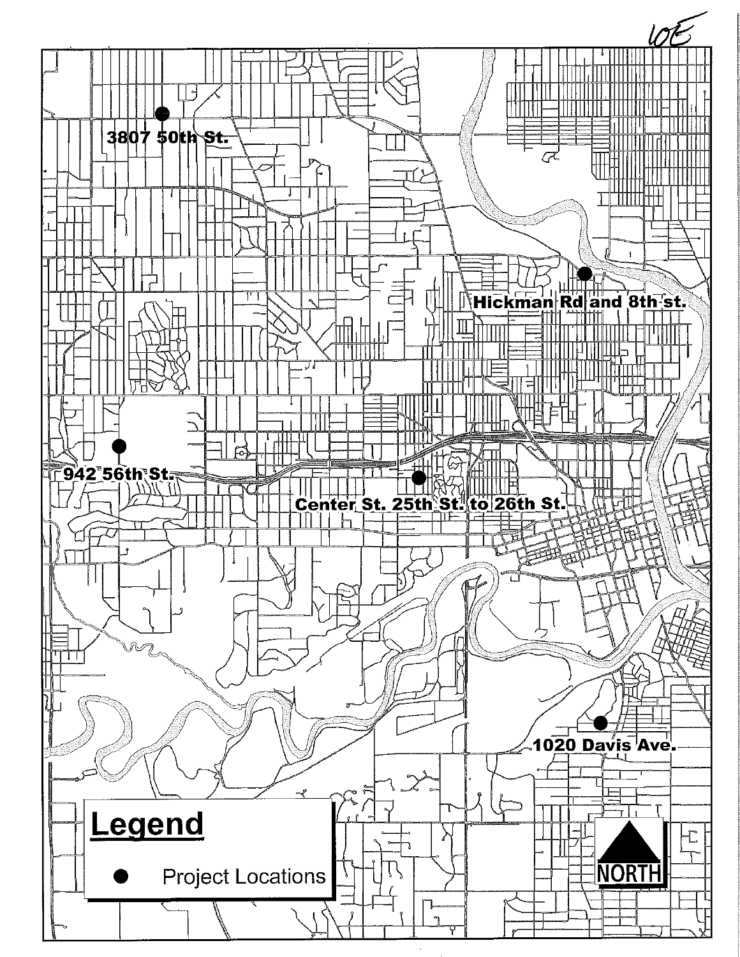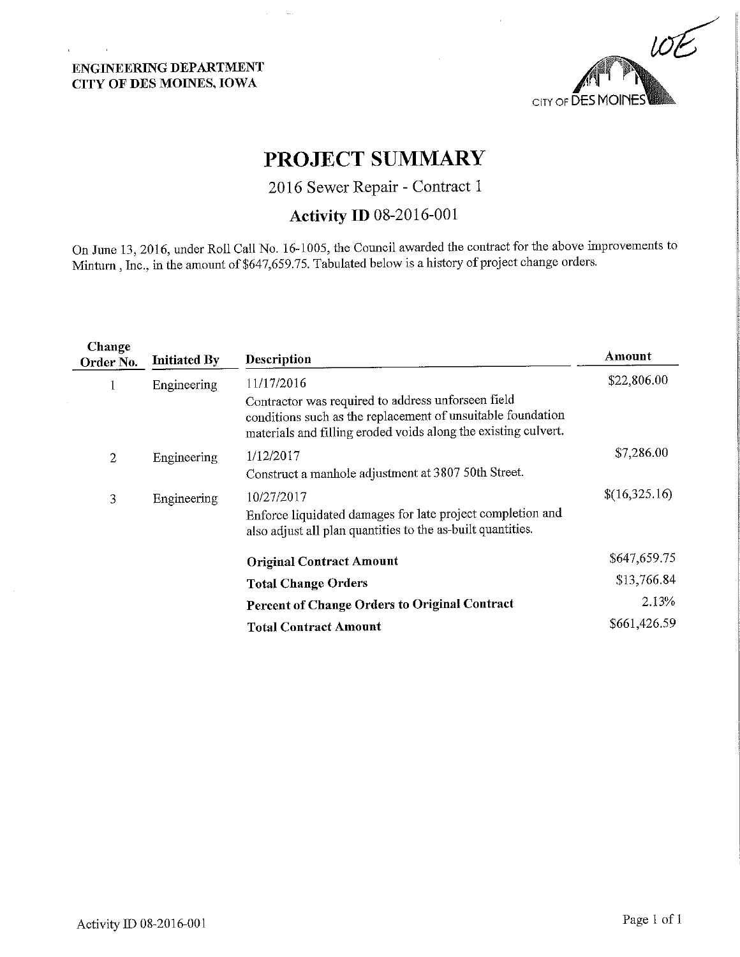# ENGINEERING DEPARTMENT CITY OF DES MOINES, IOWA

 $\mathbf{r}$ 



# PROJECT SUMMARY

2016 Sewer Repair - Contract 1

# Activity ID 08-2016-001

On June 13, 2016, under Roll Call No. 16-1005, the Council awarded the contract for the above improvements to Mintum, Inc., in the amount of \$647,659.75. Tabulated below is a history of project change orders.

| Change<br>Order No. | <b>Initiated By</b> | <b>Description</b>                                                                                                                                                                  | Amount        |
|---------------------|---------------------|-------------------------------------------------------------------------------------------------------------------------------------------------------------------------------------|---------------|
|                     | Engineering         | 11/17/2016                                                                                                                                                                          | \$22,806.00   |
|                     |                     | Contractor was required to address unforseen field<br>conditions such as the replacement of unsuitable foundation<br>materials and filling eroded voids along the existing culvert. |               |
| 2                   | Engineering         | 1/12/2017                                                                                                                                                                           | \$7,286.00    |
|                     |                     | Construct a manhole adjustment at 3807 50th Street.                                                                                                                                 |               |
| 3                   | Engineering         | 10/27/2017                                                                                                                                                                          | \$(16,325,16) |
|                     |                     | Enforce liquidated damages for late project completion and<br>also adjust all plan quantities to the as-built quantities.                                                           |               |
|                     |                     | <b>Original Contract Amount</b>                                                                                                                                                     | \$647,659.75  |
|                     |                     | <b>Total Change Orders</b>                                                                                                                                                          | \$13,766.84   |
|                     |                     | Percent of Change Orders to Original Contract                                                                                                                                       | 2.13%         |
|                     |                     | <b>Total Contract Amount</b>                                                                                                                                                        | \$661,426.59  |
|                     |                     |                                                                                                                                                                                     |               |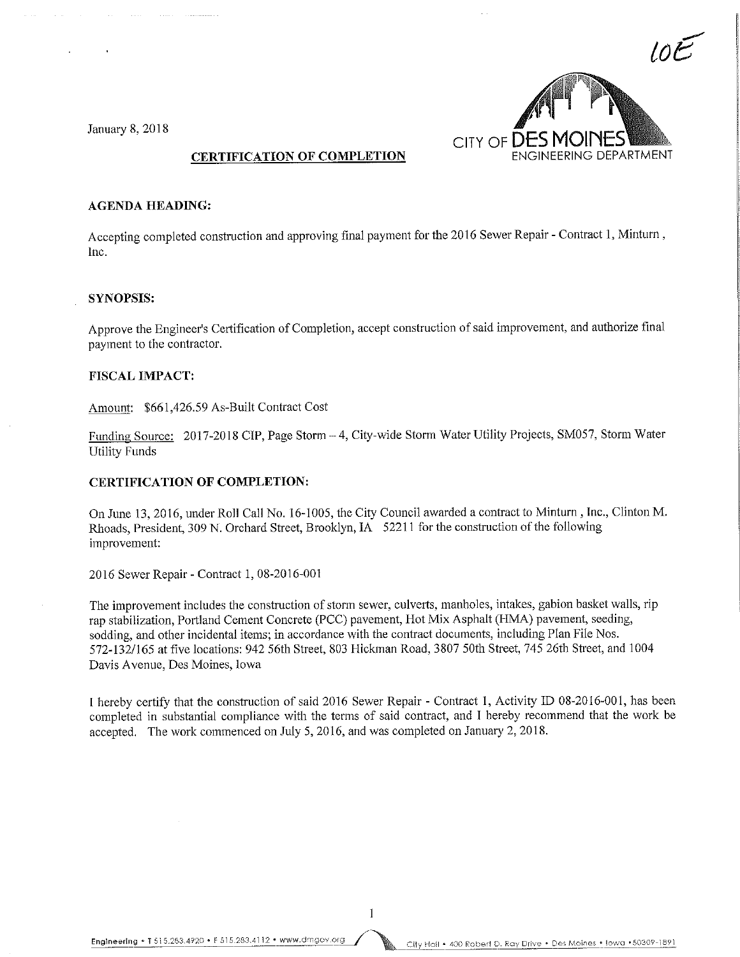CITY OF **DES MOINES** 

### January 8, 2018

## CERTIFICATION OF COMPLETION

#### **AGENDA HEADING:**

Accepting completed construction and approving final payment for the 2016 Sewer Repair - Contract 1, Minturn, Inc.

#### SYNOPSIS:

Approve the Engineer's Certification of Completion, accept construction of said improvement, and authorize final payment to the contractor.

#### FISCAL IMPACT:

Amount: \$661,426.59 As-Built Contract Cost

Funding Source: 2017-2018 CIP, Page Storm - 4, City-wide Storm Water Utility Projects, SM057, Storm Water Utility Funds

#### CERTIFICATION OF COMPLETION:

On June 13, 2016, under Roll Call No. 16-1005, the City Council awarded a contract to Minturn , Inc., Clinton M. Rhoads, President, 309 M. Orchard Street, Brooklyn, IA 52211 for the construction of the following improvement:

2016 Sewer Repair - Contract 1, 08-2016-001

The improvement includes the construction of storm sewer, culverts, manholes, intakes, gabion basket walls, rip rap stabilization, Portland Cement Concrete (PCC) pavement, Hot Mix Asphalt (HMA) pavement, seeding, sodding, and other incidental items; in accordance with the contract documents, including Plan File Nos. 572-132/165 at five locations: 942 56th Street, 803 Hickman Road, 3807 50th Street, 745 26th Street, and "1004 Davis Avenue, Des Moines, Iowa

I hereby certify that the construction of said 2016 Sewer Repair - Contract 1, Activity ID 08-2016-001, has been completed in substantial compliance with the terms of said contract, and I hereby recommend that the work be accepted. The work commenced on July 5, 2016, and was completed on January 2, 2018.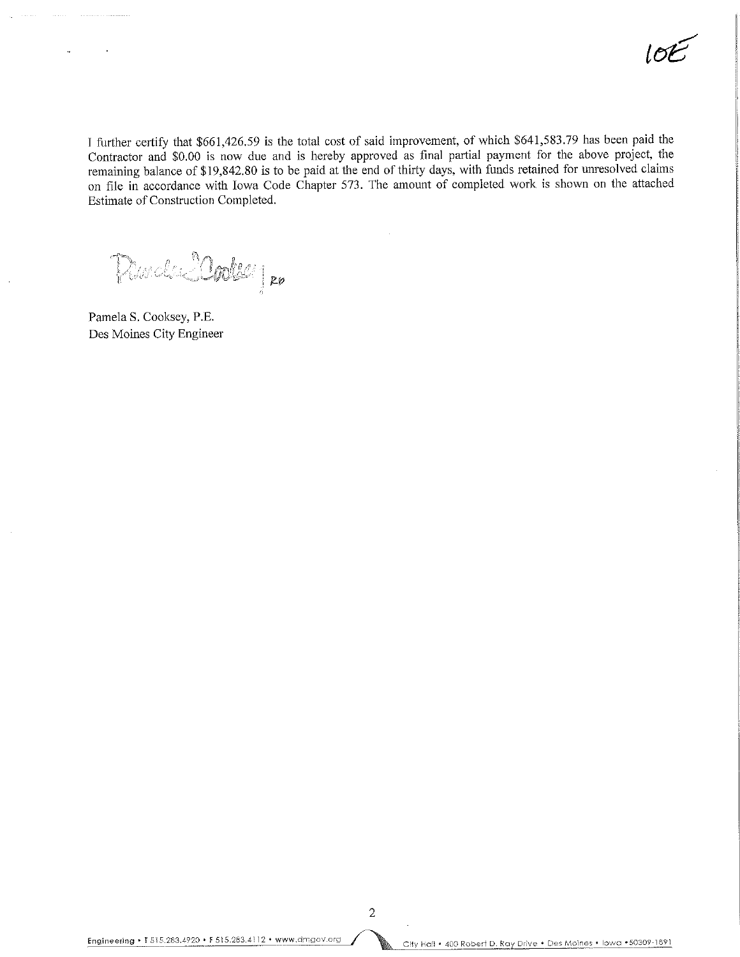$l$ or

I further certify that \$661,426.59 is the total cost of said improvement, of which \$641,583.79 has been paid the Contractor and \$0.00 is now due and is hereby approved as final partial payment for the above project, the remaining balance of \$19,842.80 is to be paid at the end of thirty days, with funds retained for unresolved claims on file in accordance with Iowa Code Chapter 573. The amount of completed work is shown on the attached Estimate of Construction Completed.

Duch Marke

Pamela S. Cooksey, P.E. Des Moines City Engineer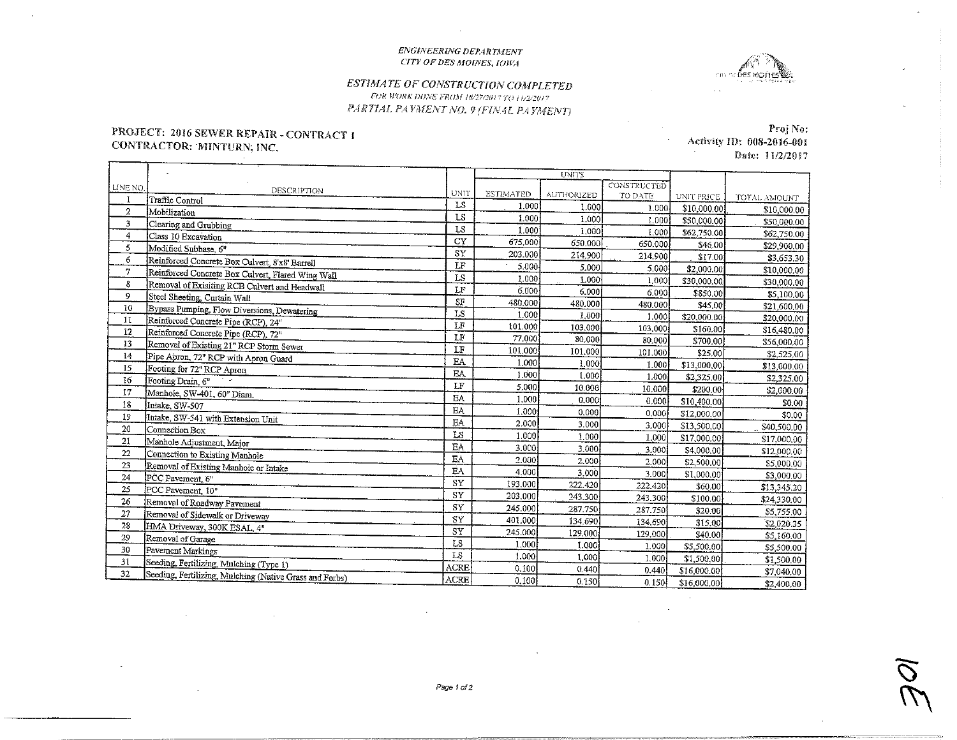#### ENGINEERING DEPARTMENT CITY OF DES MOINES, IOWA



### ESTIMATE OF CONSTRUCTION COMPLETED FOR WORK DONE FROM 10/27/2017 FO 11/2/2017 PARTIAL PAYMENT NO. 9 (FINAL PAYMENT)

## PROJECT: 2016 SEWER REPAIR - CONTRACT 1 CONTRACTOR: MINTURN, INC.

**Contract** 

Proj No: Activity ID: 008-2016-001  $\sim$ Date: 11/2/2017

 $\bar{\mathcal{A}}$ 

|          |                                                         |             | <b>UNITS</b>     |            |             |             |              |
|----------|---------------------------------------------------------|-------------|------------------|------------|-------------|-------------|--------------|
| LINE NO. | DESCRIPTION                                             |             |                  |            | CONSTRUCTED |             |              |
| I        | Traffic Control                                         | <b>UNIT</b> | <b>ESTIMATED</b> | AUTHORIZED | TO DATE     | UNIT PRICE  | TOTAL AMOUNT |
| 2        | Mobilization                                            | LS          | 1.000            | 1.000      | 1.000       | \$10,000.00 | \$10,000.00  |
| 3        | Clearing and Grubbing                                   | LS          | 1.000            | 1.000      | 1.000       | \$50,000.00 | \$50,000.00  |
| 4        | Class 10 Excavation                                     | LS          | 1.000            | 1.000      | 1.000       | \$62,750.00 | \$62,750.00  |
| 5        | Modified Subbase, 6"                                    | CY          | 675.000          | 650,000    | 650.000     | \$46.00     | \$29,900.00  |
| 6        | Reinforced Concrete Box Culvert, 8'x8' Barrell          | SY          | 203.000          | 214,900    | 214,900     | \$17.00     | \$3,653.30   |
| 7        | Reinforced Concrete Box Culvert, Flared Wing Wall       | LF          | 5.000            | 5,000      | 5.000       | \$2,000.00  | \$10,000.00  |
| 8        | Removal of Exisiting RCB Culvert and Headwall           | LS          | 1.000            | 1.000      | 1.000       | \$30,000,00 | \$30,000.00  |
| 9        | Steel Sheeting, Curtain Wall                            | LF          | 6.000            | 6.000      | 6.000       | \$850.00    | \$5,100.00   |
| 10       | Bypass Pumping, Flow Diversions, Dewatering             | $S_F$       | 480,000          | 480.000    | 480.000     | \$45.00     | \$21,600.00  |
| 11       | Reinforced Concrete Pipe (RCP), 24"                     | LS          | 1.000            | 1.000      | 1.000       | \$20,000.00 | \$20,000.00  |
| 12       | Reinforced Concrete Pipe (RCP), 72 <sup>"</sup>         | LF          | 101.000          | 103.000    | 103,000     | \$160.00    | \$16,480.00  |
| 13       | Removal of Existing 21" RCP Storm Sewer                 | LF          | 77.000           | 80.000     | 80.000      | \$700.00    | \$56,000.00  |
| 14       | Pipe Apron, 72" RCP with Apron Guard                    | LF          | 101,000          | 101.000    | 101.000     | \$25.00     | \$2,525.00   |
| 15       | Footing for 72" RCP Apron                               | EA          | 1,000            | 1,000      | 1.000       | \$13,000.00 | \$13,000.00  |
| 16       | Footing Drain, 6"                                       | <b>EA</b>   | 1.000            | 1.000      | 1.000       | \$2,325,00  | \$2,325.00   |
| 17       | Manhole, SW-401, 60" Diam.                              | LF          | 5.000            | 10.000     | 10.000      | \$200.00    | \$2,000.00   |
| 18       | Intake, SW-507                                          | EA.         | 1,000            | 0.000      | 0.000       | \$10,400.00 | \$0.00       |
| 19       | Intake, SW-541 with Extension Unit                      | EA.         | 1.000            | 0.000      | 0,000       | \$12,000.00 | \$0.00       |
| 20       | Connection Box                                          | EA          | 2.000            | 3.000      | 3.000       | \$13,500,00 | \$40,500.00  |
| 21       |                                                         | LS          | 1.000            | 1,000      | 1,000       | \$17,000.00 | \$17,000,00  |
| 22       | Manhole Adjustment, Major                               | EA.         | 3.000            | 3.000      | 3,000       | \$4,000.00  | \$12,000.00  |
| 23       | Connection to Existing Manhole                          | EA          | 2.000            | 2.000      | 2.000       | \$2,500.00  | \$5,000.00   |
| 24       | Removal of Existing Manhole or Intake                   | <b>EA</b>   | 4.000            | 3.000      | 3.000       | \$1,000.00  | \$3,000.00   |
| 25       | PCC Pavement, 6"                                        | SY          | 193.000          | 222.420    | 222.420     | \$60.00     | \$13,345.20  |
| 26       | PCC Pavement, 10"                                       | ST          | 203,000          | 243,300    | 243.300     | \$100.00    | \$24,330.00  |
| 27       | Removal of Roadway Pavement                             | SY          | 245,000          | 287.750    | 287.750     | \$20.00     | \$5,755.00   |
| 28       | Removal of Sidewalk or Driveway                         | SY          | 401.000          | 134,690    | 134,690     | \$15.00     | \$2,020.35   |
|          | HMA Driveway, 300K ESAL, 4"                             | SY          | 245.000          | 129.000    | 129.000     | \$40.00     | \$5,160.00   |
| 29<br>30 | Removal of Garage                                       | LS          | 1.000            | 1.000      | 1.000       | \$5,500,00  | \$5,500,00   |
|          | Pavement Markings                                       | LS          | 1.000            | 1.000      | 1.000       | \$1,500,00  | \$1,500.00   |
| 31<br>32 | Seeding, Fertilizing, Mulching (Type 1)                 | <b>ACRE</b> | 0.100            | 0.440      | 0.440       | \$16,000.00 | \$7,040.00   |
|          | Seeding, Fertilizing, Mulching (Native Grass and Forbs) | <b>ACRE</b> | 0,100            | 0.150      | 0.150       | \$16,000,00 | \$2,400.00   |